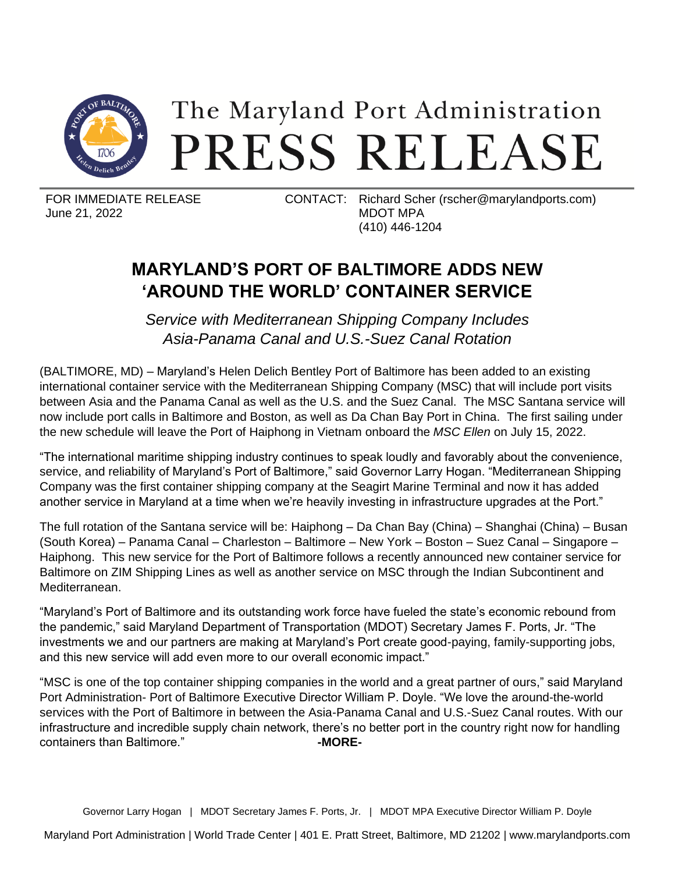

## The Maryland Port Administration PRESS RELEASE

June 21, 2022

FOR IMMEDIATE RELEASE CONTACT: Richard Scher (rscher@marylandports.com) MDOT MPA (410) 446-1204

## **MARYLAND'S PORT OF BALTIMORE ADDS NEW 'AROUND THE WORLD' CONTAINER SERVICE**

*Service with Mediterranean Shipping Company Includes Asia-Panama Canal and U.S.-Suez Canal Rotation*

(BALTIMORE, MD) – Maryland's Helen Delich Bentley Port of Baltimore has been added to an existing international container service with the Mediterranean Shipping Company (MSC) that will include port visits between Asia and the Panama Canal as well as the U.S. and the Suez Canal. The MSC Santana service will now include port calls in Baltimore and Boston, as well as Da Chan Bay Port in China. The first sailing under the new schedule will leave the Port of Haiphong in Vietnam onboard the *MSC Ellen* on July 15, 2022.

"The international maritime shipping industry continues to speak loudly and favorably about the convenience, service, and reliability of Maryland's Port of Baltimore," said Governor Larry Hogan. "Mediterranean Shipping Company was the first container shipping company at the Seagirt Marine Terminal and now it has added another service in Maryland at a time when we're heavily investing in infrastructure upgrades at the Port."

The full rotation of the Santana service will be: Haiphong – Da Chan Bay (China) – Shanghai (China) – Busan (South Korea) – Panama Canal – Charleston – Baltimore – New York – Boston – Suez Canal – Singapore – Haiphong. This new service for the Port of Baltimore follows a recently announced new container service for Baltimore on ZIM Shipping Lines as well as another service on MSC through the Indian Subcontinent and Mediterranean.

"Maryland's Port of Baltimore and its outstanding work force have fueled the state's economic rebound from the pandemic," said Maryland Department of Transportation (MDOT) Secretary James F. Ports, Jr. "The investments we and our partners are making at Maryland's Port create good-paying, family-supporting jobs, and this new service will add even more to our overall economic impact."

"MSC is one of the top container shipping companies in the world and a great partner of ours," said Maryland Port Administration- Port of Baltimore Executive Director William P. Doyle. "We love the around-the-world services with the Port of Baltimore in between the Asia-Panama Canal and U.S.-Suez Canal routes. With our infrastructure and incredible supply chain network, there's no better port in the country right now for handling containers than Baltimore." **-MORE-**

Governor Larry Hogan | MDOT Secretary James F. Ports, Jr. | MDOT MPA Executive Director William P. Doyle

Maryland Port Administration | World Trade Center | 401 E. Pratt Street, Baltimore, MD 21202 | www.marylandports.com